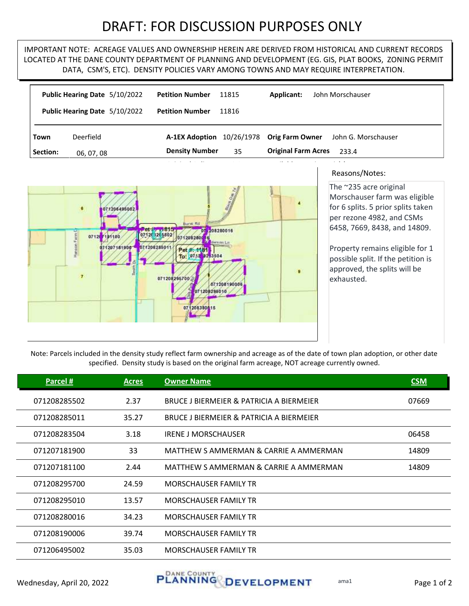## DRAFT: FOR DISCUSSION PURPOSES ONLY

IMPORTANT NOTE: ACREAGE VALUES AND OWNERSHIP HEREIN ARE DERIVED FROM HISTORICAL AND CURRENT RECORDS LOCATED AT THE DANE COUNTY DEPARTMENT OF PLANNING AND DEVELOPMENT (EG. GIS, PLAT BOOKS, ZONING PERMIT DATA, CSM'S, ETC). DENSITY POLICIES VARY AMONG TOWNS AND MAY REQUIRE INTERPRETATION.

|          | Public Hearing Date 5/10/2022 | <b>Petition Number</b> | 11815      | <b>Applicant:</b>          | John Morschauser    |
|----------|-------------------------------|------------------------|------------|----------------------------|---------------------|
|          | Public Hearing Date 5/10/2022 | <b>Petition Number</b> | 11816      |                            |                     |
| Town     | Deerfield                     | <b>A-1EX Adoption</b>  | 10/26/1978 | <b>Orig Farm Owner</b>     | John G. Morschauser |
| Section: | 06, 07, 08                    | <b>Density Number</b>  | 35         | <b>Original Farm Acres</b> | 233.4               |



## Reasons/Notes:

The ~235 acre original Morschauser farm was eligible for 6 splits. 5 prior splits taken per rezone 4982, and CSMs 6458, 7669, 8438, and 14809.

Property remains eligible for 1 possible split. If the petition is approved, the splits will be exhausted.

Note: Parcels included in the density study reflect farm ownership and acreage as of the date of town plan adoption, or other date specified. Density study is based on the original farm acreage, NOT acreage currently owned.

| Parcel #     | <b>Acres</b> | <b>Owner Name</b>                        | <b>CSM</b> |
|--------------|--------------|------------------------------------------|------------|
| 071208285502 | 2.37         | BRUCE J BIERMEIER & PATRICIA A BIERMEIER | 07669      |
| 071208285011 | 35.27        | BRUCE J BIERMEIER & PATRICIA A BIERMEIER |            |
| 071208283504 | 3.18         | <b>IRENE J MORSCHAUSER</b>               | 06458      |
| 071207181900 | 33           | MATTHEW S AMMERMAN & CARRIE A AMMERMAN   | 14809      |
| 071207181100 | 2.44         | MATTHEW S AMMERMAN & CARRIE A AMMERMAN   | 14809      |
| 071208295700 | 24.59        | <b>MORSCHAUSER FAMILY TR</b>             |            |
| 071208295010 | 13.57        | <b>MORSCHAUSER FAMILY TR</b>             |            |
| 071208280016 | 34.23        | <b>MORSCHAUSER FAMILY TR</b>             |            |
| 071208190006 | 39.74        | <b>MORSCHAUSER FAMILY TR</b>             |            |
| 071206495002 | 35.03        | <b>MORSCHAUSER FAMILY TR</b>             |            |
|              |              |                                          |            |